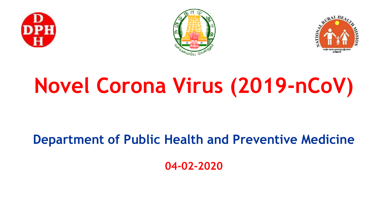





# **Novel Corona Virus (2019-nCoV)**

#### **Department of Public Health and Preventive Medicine**

**04-02-2020**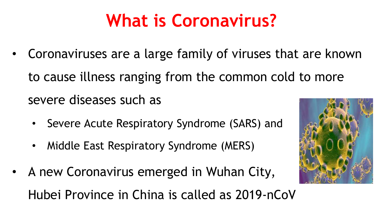# **What is Coronavirus?**

- Coronaviruses are a large family of viruses that are known to cause illness ranging from the common cold to more severe diseases such as
	- Severe Acute Respiratory Syndrome (SARS) and
	- Middle East Respiratory Syndrome (MERS)
- A new Coronavirus emerged in Wuhan City, Hubei Province in China is called as 2019-nCoV

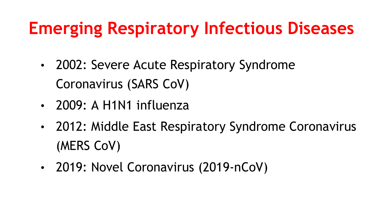# **Emerging Respiratory Infectious Diseases**

- 2002: Severe Acute Respiratory Syndrome Coronavirus (SARS CoV)
- 2009: A H1N1 influenza
- 2012: Middle East Respiratory Syndrome Coronavirus (MERS CoV)
- 2019: Novel Coronavirus (2019-nCoV)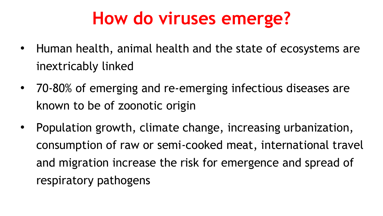# **How do viruses emerge?**

- Human health, animal health and the state of ecosystems are inextricably linked
- 70-80% of emerging and re-emerging infectious diseases are known to be of zoonotic origin
- Population growth, climate change, increasing urbanization, consumption of raw or semi-cooked meat, international travel and migration increase the risk for emergence and spread of respiratory pathogens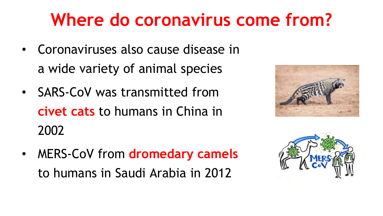# **Where do coronavirus come from?**

- Coronaviruses also cause disease in a wide variety of animal species
- SARS-CoV was transmitted from **civet cats** to humans in China in 2002
- MERS-CoV from **dromedary camels** to humans in Saudi Arabia in 2012



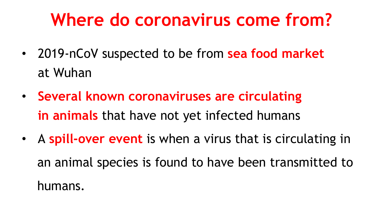# **Where do coronavirus come from?**

- 2019-nCoV suspected to be from **sea food market** at Wuhan
- **Several known coronaviruses are circulating in animals** that have not yet infected humans
- A **spill-over event** is when a virus that is circulating in an animal species is found to have been transmitted to humans.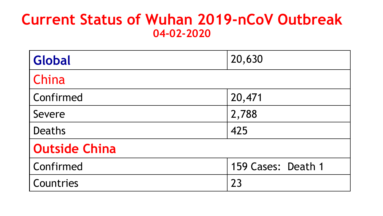#### **Current Status of Wuhan 2019-nCoV Outbreak 04-02-2020**

| <b>Global</b>        | 20,630             |  |
|----------------------|--------------------|--|
| China                |                    |  |
| Confirmed            | 20,471             |  |
| Severe               | 2,788              |  |
| <b>Deaths</b>        | 425                |  |
| <b>Outside China</b> |                    |  |
| Confirmed            | 159 Cases: Death 1 |  |
| Countries            | 23                 |  |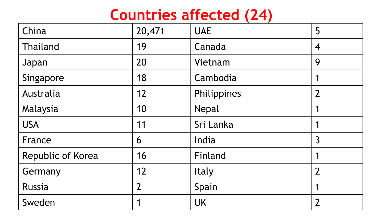### **Countries affected (24)**

| China             | 20,471         | <b>UAE</b>  | 5              |
|-------------------|----------------|-------------|----------------|
| <b>Thailand</b>   | 19             | Canada      | 4              |
| Japan             | 20             | Vietnam     | 9              |
| Singapore         | 18             | Cambodia    | 1              |
| Australia         | 12             | Philippines | $\overline{2}$ |
| Malaysia          | 10             | Nepal       |                |
| <b>USA</b>        | 11             | Sri Lanka   |                |
| France            | 6              | India       | 3              |
| Republic of Korea | 16             | Finland     |                |
| Germany           | 12             | Italy       | $\overline{2}$ |
| <b>Russia</b>     | $\overline{2}$ | Spain       | 1              |
| Sweden            |                | <b>UK</b>   | $\overline{2}$ |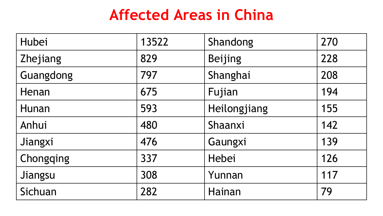#### **Affected Areas in China**

| Hubei           | 13522 | Shandong       | 270 |
|-----------------|-------|----------------|-----|
| <b>Zhejiang</b> | 829   | <b>Beijing</b> | 228 |
| Guangdong       | 797   | Shanghai       | 208 |
| Henan           | 675   | Fujian         | 194 |
| Hunan           | 593   | Heilongjiang   | 155 |
| Anhui           | 480   | Shaanxi        | 142 |
| Jiangxi         | 476   | Gaungxi        | 139 |
| Chongqing       | 337   | Hebei          | 126 |
| Jiangsu         | 308   | Yunnan         | 117 |
| Sichuan         | 282   | <b>Hainan</b>  | 79  |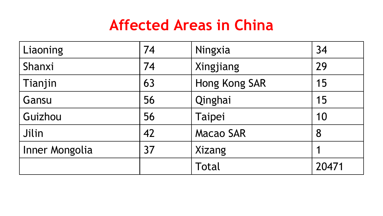### **Affected Areas in China**

| Liaoning       | 74 | Ningxia          | 34    |
|----------------|----|------------------|-------|
| Shanxi         | 74 | Xingjiang        | 29    |
| Tianjin        | 63 | Hong Kong SAR    | 15    |
| Gansu          | 56 | Qinghai          | 15    |
| Guizhou        | 56 | <b>Taipei</b>    | 10    |
| Jilin          | 42 | <b>Macao SAR</b> | 8     |
| Inner Mongolia | 37 | Xizang           |       |
|                |    | <b>Total</b>     | 20471 |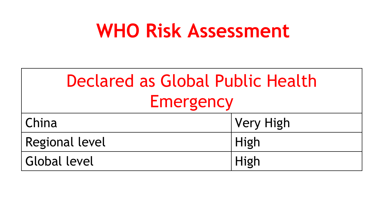# **WHO Risk Assessment**

| Declared as Global Public Health |                  |  |
|----------------------------------|------------------|--|
| <b>Emergency</b>                 |                  |  |
| China                            | <b>Very High</b> |  |
| <b>Regional level</b>            | High             |  |
| <b>Global level</b>              | High             |  |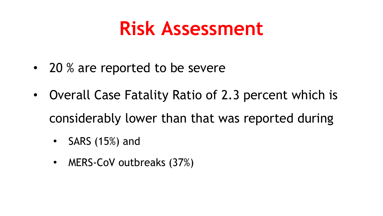# **Risk Assessment**

- 20 % are reported to be severe
- Overall Case Fatality Ratio of 2.3 percent which is considerably lower than that was reported during
	- SARS (15%) and
	- MERS-CoV outbreaks (37%)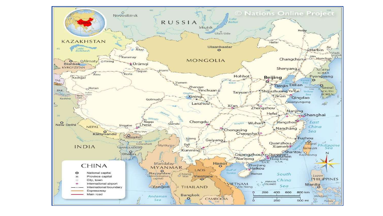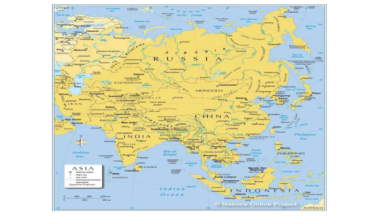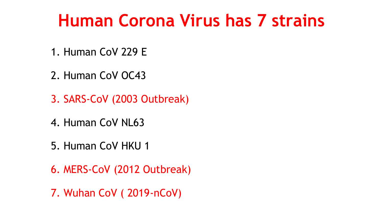### **Human Corona Virus has 7 strains**

- 1. Human CoV 229 E
- 2. Human CoV OC43
- 3. SARS-CoV (2003 Outbreak)
- 4. Human CoV NL63
- 5. Human CoV HKU 1
- 6. MERS-CoV (2012 Outbreak)
- 7. Wuhan CoV ( 2019-nCoV)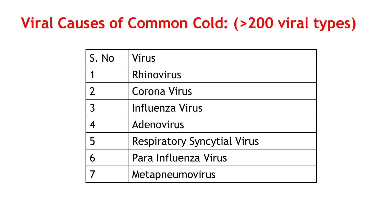### **Viral Causes of Common Cold: (>200 viral types)**

| S. No          | <b>Virus</b>                       |
|----------------|------------------------------------|
|                | Rhinovirus                         |
| $\overline{2}$ | Corona Virus                       |
| $\overline{3}$ | Influenza Virus                    |
|                | Adenovirus                         |
| 5              | <b>Respiratory Syncytial Virus</b> |
| 6              | Para Influenza Virus               |
|                | Metapneumovirus                    |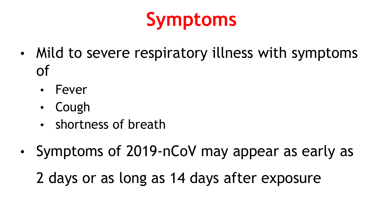# **Symptoms**

- Mild to severe respiratory illness with symptoms of
	- Fever
	- **Cough**
	- shortness of breath
- Symptoms of 2019-nCoV may appear as early as
	- 2 days or as long as 14 days after exposure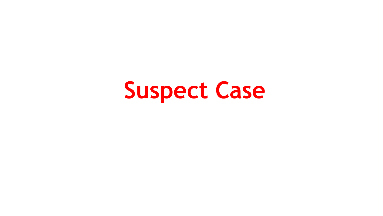# **Suspect Case**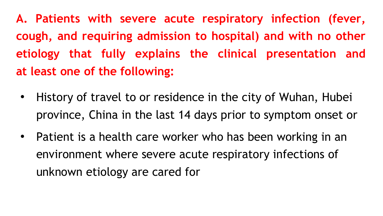**A. Patients with severe acute respiratory infection (fever, cough, and requiring admission to hospital) and with no other etiology that fully explains the clinical presentation and at least one of the following:**

- History of travel to or residence in the city of Wuhan, Hubei province, China in the last 14 days prior to symptom onset or
- Patient is a health care worker who has been working in an environment where severe acute respiratory infections of unknown etiology are cared for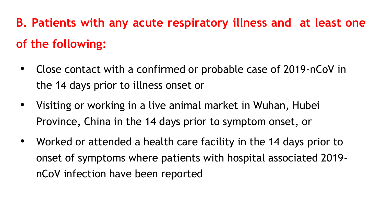**B. Patients with any acute respiratory illness and at least one of the following:**

- Close contact with a confirmed or probable case of 2019-nCoV in the 14 days prior to illness onset or
- Visiting or working in a live animal market in Wuhan, Hubei Province, China in the 14 days prior to symptom onset, or
- Worked or attended a health care facility in the 14 days prior to onset of symptoms where patients with hospital associated 2019 nCoV infection have been reported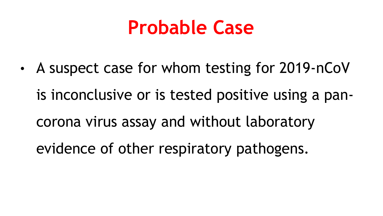# **Probable Case**

• A suspect case for whom testing for 2019-nCoV is inconclusive or is tested positive using a pancorona virus assay and without laboratory evidence of other respiratory pathogens.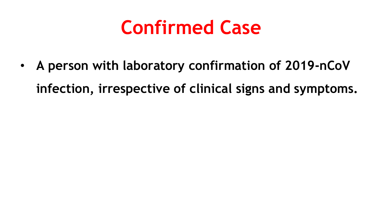# **Confirmed Case**

• **A person with laboratory confirmation of 2019-nCoV infection, irrespective of clinical signs and symptoms.**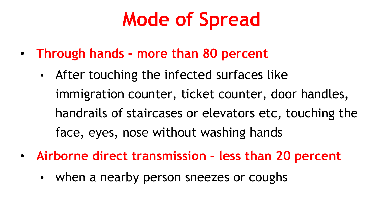# **Mode of Spread**

- **Through hands – more than 80 percent**
	- After touching the infected surfaces like immigration counter, ticket counter, door handles, handrails of staircases or elevators etc, touching the face, eyes, nose without washing hands
- **Airborne direct transmission – less than 20 percent**
	- when a nearby person sneezes or coughs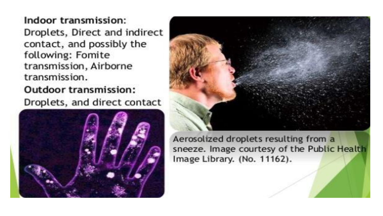#### Indoor transmission:

Droplets, Direct and indirect contact, and possibly the following: Fomite transmission, Airborne transmission.

#### **Outdoor transmission:** Droplets, and direct contact





Aerosolized droplets resulting from a sneeze. Image courtesy of the Public Health Image Library. (No. 11162).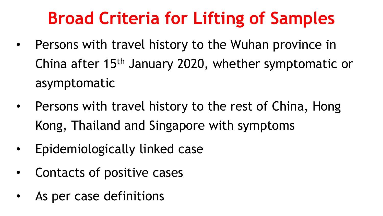# **Broad Criteria for Lifting of Samples**

- Persons with travel history to the Wuhan province in China after 15th January 2020, whether symptomatic or asymptomatic
- Persons with travel history to the rest of China, Hong Kong, Thailand and Singapore with symptoms
- Epidemiologically linked case
- Contacts of positive cases
- As per case definitions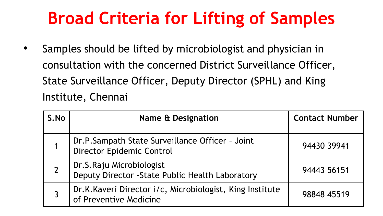# **Broad Criteria for Lifting of Samples**

• Samples should be lifted by microbiologist and physician in consultation with the concerned District Surveillance Officer, State Surveillance Officer, Deputy Director (SPHL) and King Institute, Chennai

| S.No | <b>Name &amp; Designation</b>                                                      | <b>Contact Number</b> |
|------|------------------------------------------------------------------------------------|-----------------------|
|      | Dr.P.Sampath State Surveillance Officer - Joint<br>Director Epidemic Control       | 94430 39941           |
|      | Dr.S.Raju Microbiologist<br>Deputy Director - State Public Health Laboratory       | 94443 56151           |
| ว    | Dr.K.Kaveri Director i/c, Microbiologist, King Institute<br>of Preventive Medicine | 98848 45519           |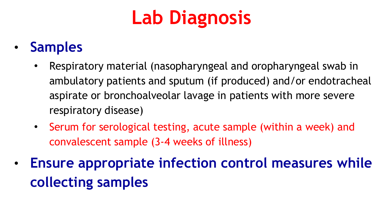# **Lab Diagnosis**

#### • **Samples**

- Respiratory material (nasopharyngeal and oropharyngeal swab in ambulatory patients and sputum (if produced) and/or endotracheal aspirate or bronchoalveolar lavage in patients with more severe respiratory disease)
- Serum for serological testing, acute sample (within a week) and convalescent sample (3-4 weeks of illness)
- **Ensure appropriate infection control measures while collecting samples**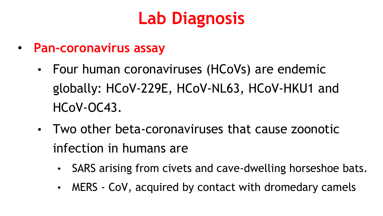# **Lab Diagnosis**

- **Pan-coronavirus assay**
	- Four human coronaviruses (HCoVs) are endemic globally: HCoV-229E, HCoV-NL63, HCoV-HKU1 and HCoV-OC43.
	- Two other beta-coronaviruses that cause zoonotic infection in humans are
		- SARS arising from civets and cave-dwelling horseshoe bats.
		- MERS CoV, acquired by contact with dromedary camels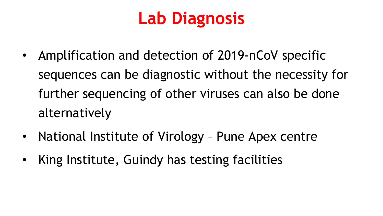# **Lab Diagnosis**

- Amplification and detection of 2019-nCoV specific sequences can be diagnostic without the necessity for further sequencing of other viruses can also be done alternatively
- National Institute of Virology Pune Apex centre
- King Institute, Guindy has testing facilities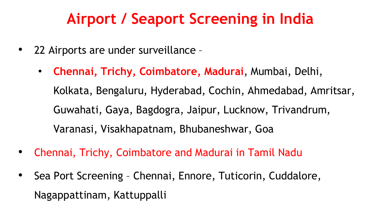### **Airport / Seaport Screening in India**

- 22 Airports are under surveillance
	- **Chennai, Trichy, Coimbatore, Madurai**, Mumbai, Delhi, Kolkata, Bengaluru, Hyderabad, Cochin, Ahmedabad, Amritsar, Guwahati, Gaya, Bagdogra, Jaipur, Lucknow, Trivandrum, Varanasi, Visakhapatnam, Bhubaneshwar, Goa
- Chennai, Trichy, Coimbatore and Madurai in Tamil Nadu
- Sea Port Screening Chennai, Ennore, Tuticorin, Cuddalore, Nagappattinam, Kattuppalli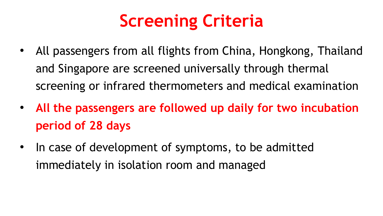# **Screening Criteria**

- All passengers from all flights from China, Hongkong, Thailand and Singapore are screened universally through thermal screening or infrared thermometers and medical examination
- **All the passengers are followed up daily for two incubation period of 28 days**
- In case of development of symptoms, to be admitted immediately in isolation room and managed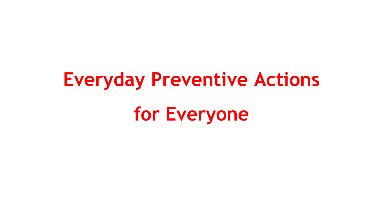# **Everyday Preventive Actions**

**for Everyone**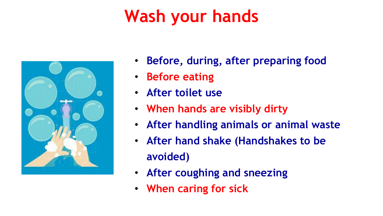# **Wash your hands**



- **Before, during, after preparing food**
- **Before eating**
- **After toilet use**
- **When hands are visibly dirty**
- **After handling animals or animal waste**
- **After hand shake (Handshakes to be avoided)**
- **After coughing and sneezing**
- **When caring for sick**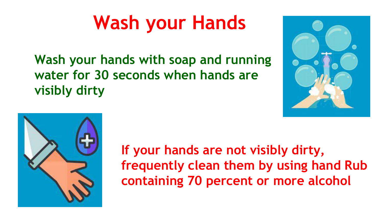# **Wash your Hands**

**Wash your hands with soap and running water for 30 seconds when hands are visibly dirty** 





**If your hands are not visibly dirty, frequently clean them by using hand Rub containing 70 percent or more alcohol**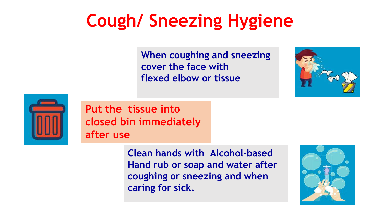# **Cough/ Sneezing Hygiene**

**When coughing and sneezing cover the face with flexed elbow or tissue**





**Put the tissue into closed bin immediately after use**

> **Clean hands with Alcohol-based Hand rub or soap and water after coughing or sneezing and when caring for sick.**

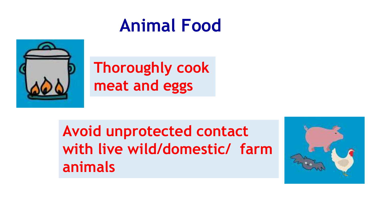### **Animal Food**



### **Thoroughly cook meat and eggs**

**Avoid unprotected contact with live wild/domestic/ farm animals**

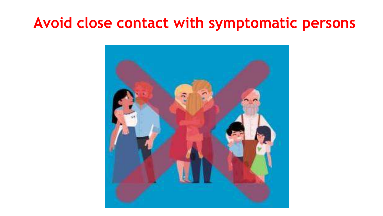#### **Avoid close contact with symptomatic persons**

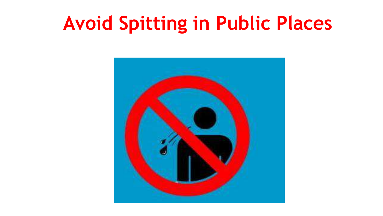## **Avoid Spitting in Public Places**

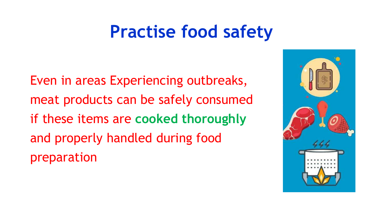#### **Practise food safety**

Even in areas Experiencing outbreaks, meat products can be safely consumed if these items are **cooked thoroughly** and properly handled during food preparation

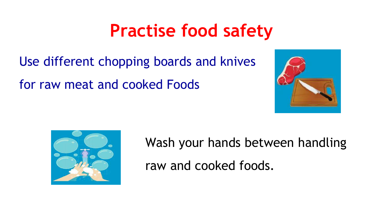#### **Practise food safety**

Use different chopping boards and knives for raw meat and cooked Foods





Wash your hands between handling raw and cooked foods.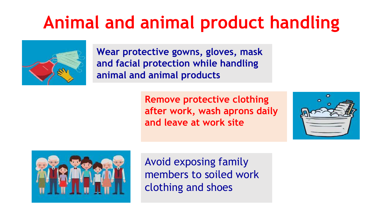## **Animal and animal product handling**



**Wear protective gowns, gloves, mask and facial protection while handling animal and animal products**

> **Remove protective clothing after work, wash aprons daily and leave at work site**





Avoid exposing family members to soiled work clothing and shoes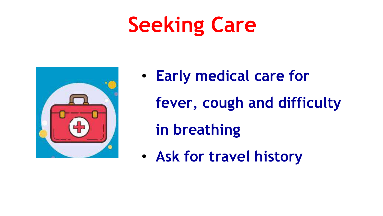## **Seeking Care**



• **Early medical care for fever, cough and difficulty in breathing**

• **Ask for travel history**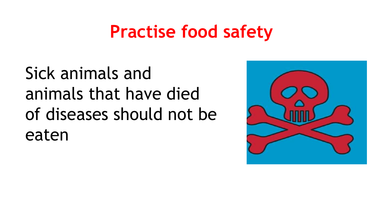#### **Practise food safety**

## Sick animals and animals that have died of diseases should not be eaten

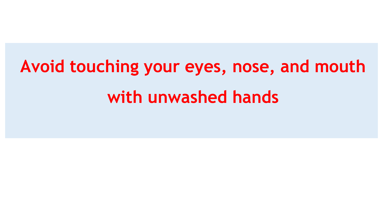# **Avoid touching your eyes, nose, and mouth with unwashed hands**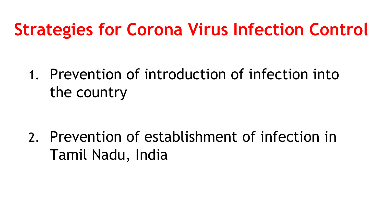### **Strategies for Corona Virus Infection Control**

1. Prevention of introduction of infection into the country

2. Prevention of establishment of infection in Tamil Nadu, India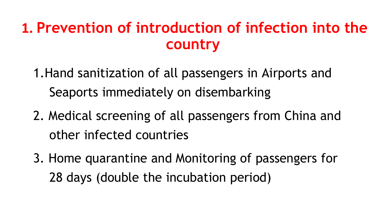#### **1. Prevention of introduction of infection into the country**

- 1.Hand sanitization of all passengers in Airports and Seaports immediately on disembarking
- 2. Medical screening of all passengers from China and other infected countries
- 3. Home quarantine and Monitoring of passengers for 28 days (double the incubation period)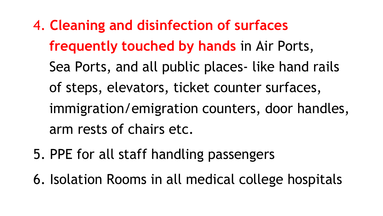4. **Cleaning and disinfection of surfaces frequently touched by hands** in Air Ports, Sea Ports, and all public places- like hand rails of steps, elevators, ticket counter surfaces, immigration/emigration counters, door handles, arm rests of chairs etc.

5. PPE for all staff handling passengers

6. Isolation Rooms in all medical college hospitals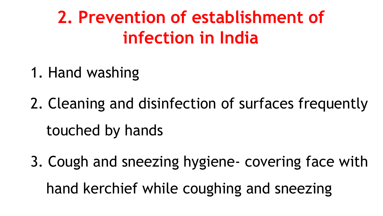## **2. Prevention of establishment of infection in India**

- 1. Hand washing
- 2. Cleaning and disinfection of surfaces frequently touched by hands
- 3. Cough and sneezing hygiene- covering face with hand kerchief while coughing and sneezing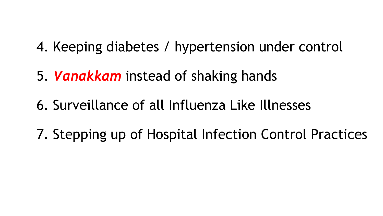- 4. Keeping diabetes / hypertension under control
- 5. *Vanakkam* instead of shaking hands
- 6. Surveillance of all Influenza Like Illnesses
- 7. Stepping up of Hospital Infection Control Practices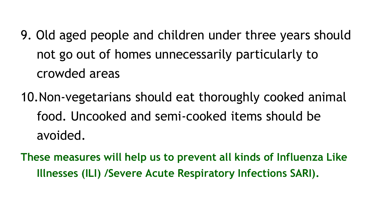- 9. Old aged people and children under three years should not go out of homes unnecessarily particularly to crowded areas
- 10.Non-vegetarians should eat thoroughly cooked animal food. Uncooked and semi-cooked items should be avoided.
- **These measures will help us to prevent all kinds of Influenza Like Illnesses (ILI) /Severe Acute Respiratory Infections SARI).**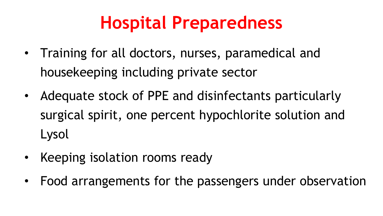## **Hospital Preparedness**

- Training for all doctors, nurses, paramedical and housekeeping including private sector
- Adequate stock of PPE and disinfectants particularly surgical spirit, one percent hypochlorite solution and Lysol
- Keeping isolation rooms ready
- Food arrangements for the passengers under observation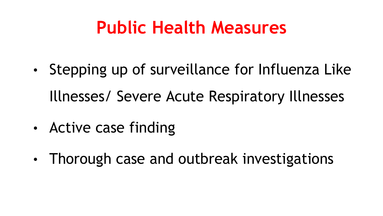## **Public Health Measures**

- Stepping up of surveillance for Influenza Like Illnesses/ Severe Acute Respiratory Illnesses
- Active case finding
- Thorough case and outbreak investigations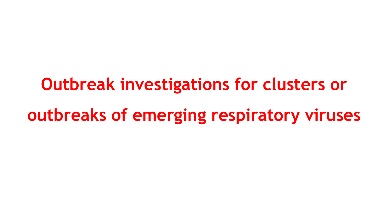## **Outbreak investigations for clusters or outbreaks of emerging respiratory viruses**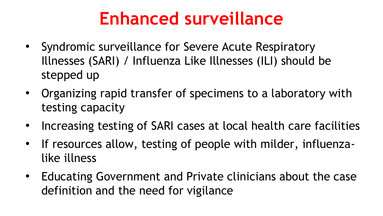## **Enhanced surveillance**

- Syndromic surveillance for Severe Acute Respiratory Illnesses (SARI) / Influenza Like Illnesses (ILI) should be stepped up
- Organizing rapid transfer of specimens to a laboratory with testing capacity
- Increasing testing of SARI cases at local health care facilities
- If resources allow, testing of people with milder, influenzalike illness
- Educating Government and Private clinicians about the case definition and the need for vigilance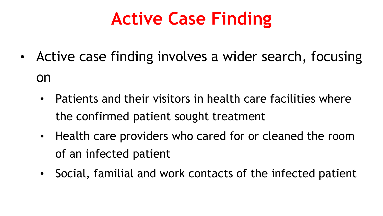## **Active Case Finding**

- Active case finding involves a wider search, focusing on
	- Patients and their visitors in health care facilities where the confirmed patient sought treatment
	- Health care providers who cared for or cleaned the room of an infected patient
	- Social, familial and work contacts of the infected patient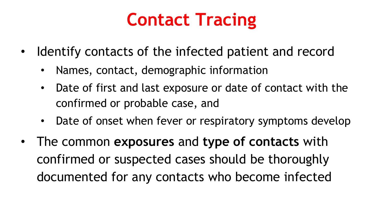## **Contact Tracing**

- Identify contacts of the infected patient and record
	- Names, contact, demographic information
	- Date of first and last exposure or date of contact with the confirmed or probable case, and
	- Date of onset when fever or respiratory symptoms develop
- The common **exposures** and **type of contacts** with confirmed or suspected cases should be thoroughly documented for any contacts who become infected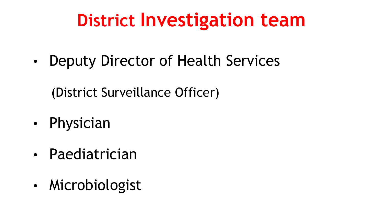## **District Investigation team**

• Deputy Director of Health Services

(District Surveillance Officer)

- Physician
- Paediatrician
- Microbiologist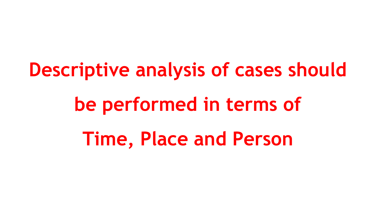**Descriptive analysis of cases should** 

**be performed in terms of Time, Place and Person**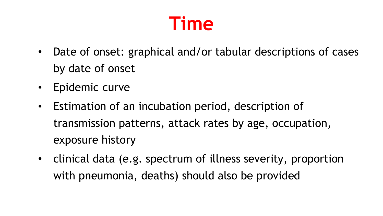## **Time**

- Date of onset: graphical and/or tabular descriptions of cases by date of onset
- Epidemic curve
- Estimation of an incubation period, description of transmission patterns, attack rates by age, occupation, exposure history
- clinical data (e.g. spectrum of illness severity, proportion with pneumonia, deaths) should also be provided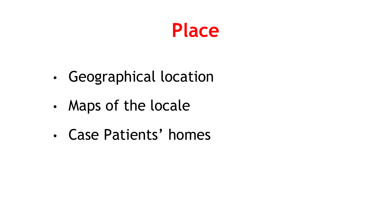#### **Place**

- Geographical location
- Maps of the locale
- Case Patients' homes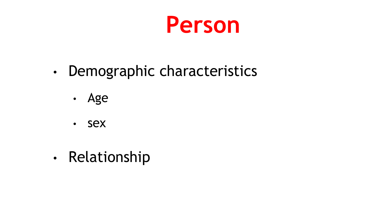

- Demographic characteristics
	- Age
	- sex
- Relationship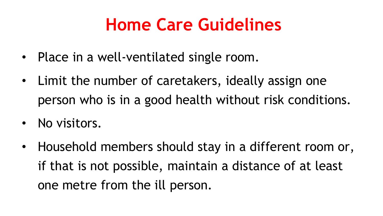- Place in a well-ventilated single room.
- Limit the number of caretakers, ideally assign one person who is in a good health without risk conditions.
- No visitors.
- Household members should stay in a different room or, if that is not possible, maintain a distance of at least one metre from the ill person.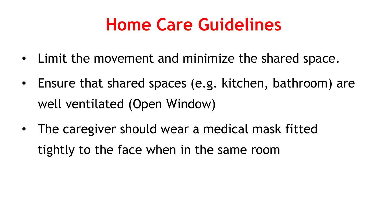- Limit the movement and minimize the shared space.
- Ensure that shared spaces (e.g. kitchen, bathroom) are well ventilated (Open Window)
- The caregiver should wear a medical mask fitted tightly to the face when in the same room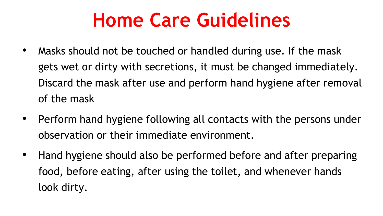- Masks should not be touched or handled during use. If the mask gets wet or dirty with secretions, it must be changed immediately. Discard the mask after use and perform hand hygiene after removal of the mask
- Perform hand hygiene following all contacts with the persons under observation or their immediate environment.
- Hand hygiene should also be performed before and after preparing food, before eating, after using the toilet, and whenever hands look dirty.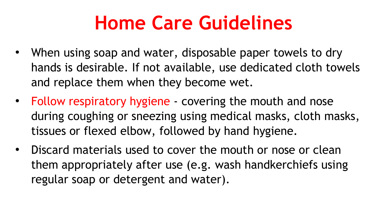- When using soap and water, disposable paper towels to dry hands is desirable. If not available, use dedicated cloth towels and replace them when they become wet.
- Follow respiratory hygiene covering the mouth and nose during coughing or sneezing using medical masks, cloth masks, tissues or flexed elbow, followed by hand hygiene.
- Discard materials used to cover the mouth or nose or clean them appropriately after use (e.g. wash handkerchiefs using regular soap or detergent and water).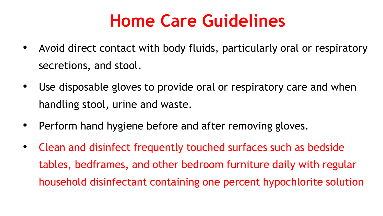- Avoid direct contact with body fluids, particularly oral or respiratory secretions, and stool.
- Use disposable gloves to provide oral or respiratory care and when handling stool, urine and waste.
- Perform hand hygiene before and after removing gloves.
- Clean and disinfect frequently touched surfaces such as bedside tables, bedframes, and other bedroom furniture daily with regular household disinfectant containing one percent hypochlorite solution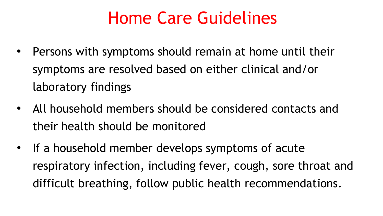- Persons with symptoms should remain at home until their symptoms are resolved based on either clinical and/or laboratory findings
- All household members should be considered contacts and their health should be monitored
- If a household member develops symptoms of acute respiratory infection, including fever, cough, sore throat and difficult breathing, follow public health recommendations.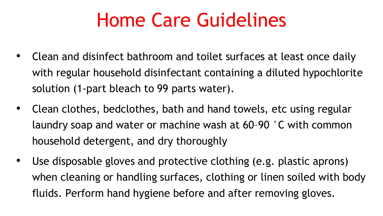- Clean and disinfect bathroom and toilet surfaces at least once daily with regular household disinfectant containing a diluted hypochlorite solution (1-part bleach to 99 parts water).
- Clean clothes, bedclothes, bath and hand towels, etc using regular laundry soap and water or machine wash at 60–90 °C with common household detergent, and dry thoroughly
- Use disposable gloves and protective clothing (e.g. plastic aprons) when cleaning or handling surfaces, clothing or linen soiled with body fluids. Perform hand hygiene before and after removing gloves.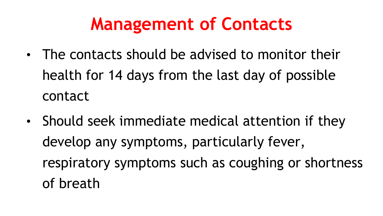## **Management of Contacts**

- The contacts should be advised to monitor their health for 14 days from the last day of possible contact
- Should seek immediate medical attention if they develop any symptoms, particularly fever, respiratory symptoms such as coughing or shortness of breath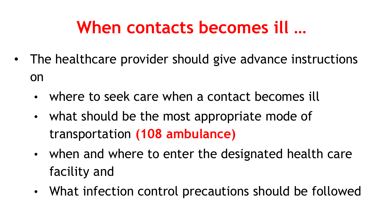#### **When contacts becomes ill …**

- The healthcare provider should give advance instructions on
	- where to seek care when a contact becomes ill
	- what should be the most appropriate mode of transportation **(108 ambulance)**
	- when and where to enter the designated health care facility and
	- What infection control precautions should be followed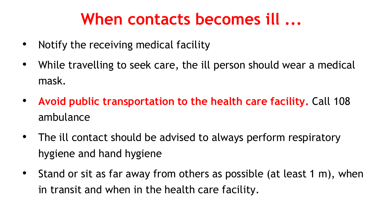#### **When contacts becomes ill ...**

- Notify the receiving medical facility
- While travelling to seek care, the ill person should wear a medical mask.
- **Avoid public transportation to the health care facility.** Call 108 ambulance
- The ill contact should be advised to always perform respiratory hygiene and hand hygiene
- Stand or sit as far away from others as possible (at least 1 m), when in transit and when in the health care facility.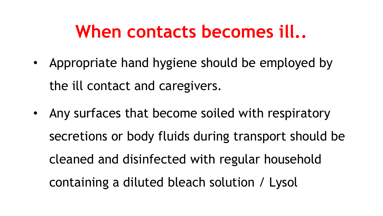#### **When contacts becomes ill..**

- Appropriate hand hygiene should be employed by the ill contact and caregivers.
- Any surfaces that become soiled with respiratory secretions or body fluids during transport should be cleaned and disinfected with regular household containing a diluted bleach solution / Lysol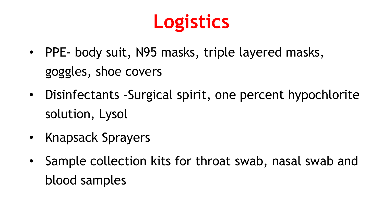# **Logistics**

- PPE- body suit, N95 masks, triple layered masks, goggles, shoe covers
- Disinfectants –Surgical spirit, one percent hypochlorite solution, Lysol
- Knapsack Sprayers
- Sample collection kits for throat swab, nasal swab and blood samples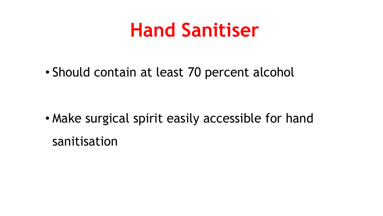# **Hand Sanitiser**

• Should contain at least 70 percent alcohol

• Make surgical spirit easily accessible for hand sanitisation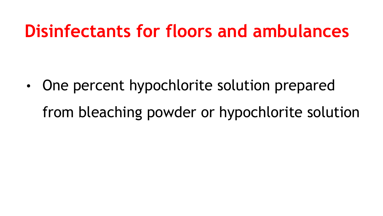# **Disinfectants for floors and ambulances**

• One percent hypochlorite solution prepared

from bleaching powder or hypochlorite solution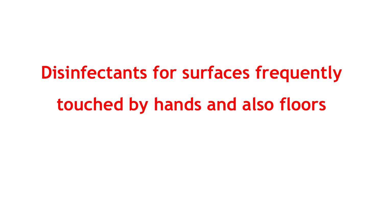# **Disinfectants for surfaces frequently touched by hands and also floors**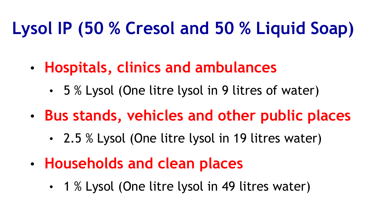# **Lysol IP (50 % Cresol and 50 % Liquid Soap)**

- **Hospitals, clinics and ambulances**
	- 5 % Lysol (One litre lysol in 9 litres of water)
- **Bus stands, vehicles and other public places** 
	- 2.5 % Lysol (One litre lysol in 19 litres water)
- **Households and clean places**
	- 1 % Lysol (One litre lysol in 49 litres water)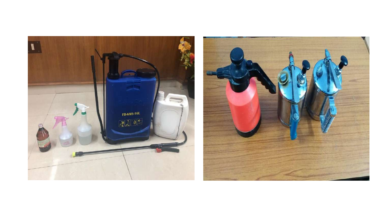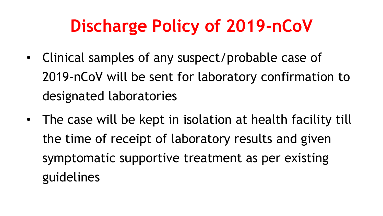# **Discharge Policy of 2019-nCoV**

- Clinical samples of any suspect/probable case of 2019-nCoV will be sent for laboratory confirmation to designated laboratories
- The case will be kept in isolation at health facility till the time of receipt of laboratory results and given symptomatic supportive treatment as per existing guidelines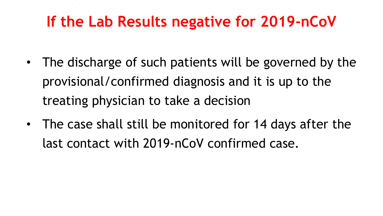# **If the Lab Results negative for 2019-nCoV**

- The discharge of such patients will be governed by the provisional/confirmed diagnosis and it is up to the treating physician to take a decision
- The case shall still be monitored for 14 days after the last contact with 2019-nCoV confirmed case.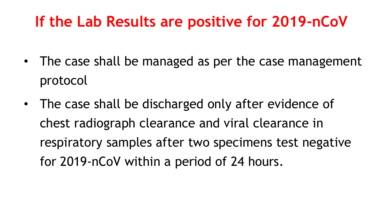# **If the Lab Results are positive for 2019-nCoV**

- The case shall be managed as per the case management protocol
- The case shall be discharged only after evidence of chest radiograph clearance and viral clearance in respiratory samples after two specimens test negative for 2019-nCoV within a period of 24 hours.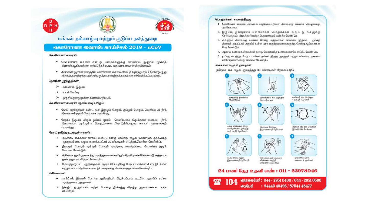





# கொரோனா வைரஸ் காய்ச்சல் 2019 - nCoV

### கொரோனா வைரஸ்

- கொரோனா வைரஸ் என்பது மனிதர்களுக்கு காய்ச்சல், இருமல், மூச்சுத் திணாுல் ஆகியவற்றை ஏற்படுத்தத் கூடிய ஒருவகை வைரஸ் கிருமியாகும்.
- சீனாவின் வூகான் நகரத்தில் கொரோனா வைரஸ் நோய்த் தொற்று ஏற்பட்டுள்ளது. இது விலங்குகளிலிருந்து மனிதர்களுக்கு பரவி இருக்கலாம் என சந்தேகிக்கப்படுகிறது.

### நோயின் அறிகுறிகள்:

- $\triangleright$  காய்ச்சல், இருமல்
- $\lambda$  2.1.60 Germinal
- > ஒரு சிலருக்கு மூச்சுத் திணறல் ஏற்படும்.

### கொரோனா வைரஸ் நோய் பரவும் விதம்:

- நோய் அறிகுறிகள் கண்ட நபர் இருமும் போதும், தம்மும் போதும், வெளிப்படும் நீர்த் திவலைகள் மூலம் நேரடியாக பரவுகிறது.
- மேலும் இருமல் மற்றும் தும்மல் மூலம் வெளிப்படும் கிருமிகளை உடைய நீர்த் திவகைகள் படிந்துள்ள பொருட்களை தொடும்பொழுது கைகள் மூலமாகவும் பரவுகிறது.

### நோய் தடுப்பு நடவடிக்கைகள் :

- + அடிக்கடி கைகளை சோப்பு போட்டு நன்கு தேய்த்து கழுவ வேண்டும். ஒவ்வொரு முறையும் கை கழுவ குறைந்தபட்சம் 30 விநாடிகள் எடுத்துக்கொள்ள வேண்டும்.
- + இருமும் போதும் தும்மும் போதும் முகத்தை கைக்குட்டை கொண்டு மூடிக் கொள்ள வேண்டும்.
- + சிகிச்சை தரும் அனைத்து மருத்துவமனைகளிலும் கிருமி நாசினி கொண்டு சுத்தமாக துடைத்து பராமரித்தல் வேண்டும்.
- + 3 வயதிற்குட்பட்ட குழந்தைகள் மற்றும் 70 வயதிற்கு மேற்பட்டவர்கள் பொது இடங்கள் மற்றும் கூட்ட நெரிசல் உள்ள இடங்களுக்கு செல்வதை தவிர்க்க வேண்டும்.

### சிகிச்சைகள்

- + காய்ச்சல், இருமல் போன்ற அறிகுறிகள் தென்பட்டால் உடனே அருகில் உள்ள மருத்துவரை அணுகவும்.
- + இளநீர், ஒ.ஆர்.எஸ், கஞ்சி போன்ற நீர்ச்சத்து மிகுந்த ஆகாரங்களை பருக வேண்டும்.

### பொதுமக்கள் கவனத்திற்கு

- 1. கொரோனா வைரஸ் காய்ச்சல் பாதிக்கப்பட்டுள்ள சீனாவுக்கு பயணம் செல்லுவதை கவிர்க்கலாம்.
- 2. இருமல், ஒலகோசம் உள்ளவர்கள் பொதுமக்கள் கூடும் இடங்களுக்கு செல்வதையும், விழாக்களில் பங்கு பெறுவதையும் தவிர்க்க வேண்டும்.
- 3. சமீபத்தில் சீனாவுக்கு பயணம் சென்று வக்கவர்கள் காய்ச்சல், இருமல், மூச்சுக் கிணறல் ஏற்பட்டால் அசுகில் உள்ள அரசு மாத்துவமனைகளுக்கு சென்று அலோசனை பொலேன்டும்.
- 4. அசைவ உணவு உண்பவர்கள் நன்கு வேகவைத்த உணவுகளையே சாப்பிட வேண்டும்.
- 5. முப்பது வயதிற்கு மேற்பட்டவர்கள் தங்கள் இரத்த அழுத்தம் மற்றும் சர்க்கரை அளமை பரிசோகளை செய்து கொள்ள வேண்டும்.

### கைகளை கமூவும் முறைகள்

நன்றாக கை கழுவ குறைந்தது 30 வினாடிகள் தேவைப்படும்.



<u>எட்டை விளக கண்டு</u>













கையேசி

chooseer learing இருகைகளையும் தேம்க்கவும் money citrà der uteristene SGRANI Go Roistean





: 94443 40496 / 87544 48477

fish should arisin colonization. இருக்கனா சுழற்றி



24 மணி நேர உதவி எண்: 011 - 23978046 வெளலையேசி: 044 - 2951 0400 / 044 - 2951 0500  $\mathbf{a}$ 104

மாடு பாரி வேப்க்கவும்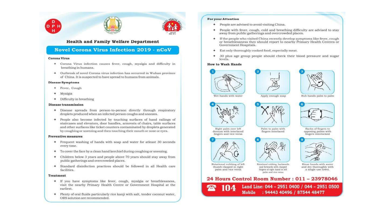

### **Health and Family Welfare Department**

# **Novel Corona Virus Infection 2019 - nCoV**

### **Corona Virus**

- + Corona Virus infection causes fever, cough, myalgia and difficulty in breathing in humans.
- + Outbreak of novel Corona virus infection has occurred in Wuhan province of China. It is suspected to have spread to humans from animals.

### **Disease Symptoms**

- + Fever, Cough
- + Myalgia
- + Difficulty in breathing

### Disease transmission

- + Disease spreads from person-to-person directly through respiratory droplets produced when an infected person coughs and sneezes.
- + People also become infected by touching surfaces of hand railings of staircases and elevators, door handles, armrests of chairs, table surfaces and other surfaces like ticket counters contaminated by droplets generated by coughing or sneezing and then touching their mouth or nose or eyes.

### **Preventive measures**

- + Frequent washing of hands with soap and water for atleast 30 seconds every time.
- To cover the face by a clean hand kerchief during coughing or sneezing.
- + Children below 3 years and people above 70 years should stay away from public gatherings and overcrowded places.
- + Standard disinfection practices should be followed in all Health care facilities:

#### **Treatment**

- + If you have symptoms like fever, cough, myalgia or breathlessness, visit the nearby Primary Health Centre or Government Hospital at the earliest.
- + Plenty of oral fluids particularly rice kanji with salt, tender coconut water, ORS solution are recommended.

### **For your Attention**

- + People are advised to avoid visiting China.
- People with fever, cough, cold and breathing difficulty are advised to stay  $\ddot{}$ away from public gatherings and overcrowded places.
- + If the people who visited China recently develop symptoms like fever, cough or breathlessness they should report to nearby Primary Health Centres or Government Hospitals.
- Eat only thoroughly cooked food, especially meat.  $\ddot{}$
- 30 plus age group people should check their blood pressure and sugar ÷ levels.

### **How to Wash Hands**







Wet hands with water

Apply enough soap

fingers interlaced

Rub hands palm to palm.



dorsum with interlaced fingers and vice versal







Backs of fingers to opposing palms with fingers interlocked



Rotational rubbing of left thumb clasped in right palm and vice versa

Rotational rubbing, backwards. and forwards with clasped fingers of right hand in left palm and vice versa

Rinse hands with water and dry thoroughly with a single use towel.

24 Hours Control Room Number: 011 - 23978046 Land Line: 044 - 2951 0400 / 044 - 2951 0500 Mobile : 94443 40496 / 87544 48477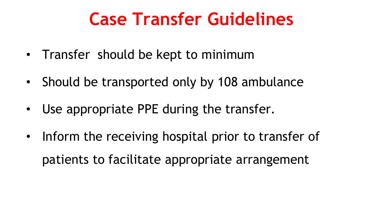# **Case Transfer Guidelines**

- Transfer should be kept to minimum
- Should be transported only by 108 ambulance
- Use appropriate PPE during the transfer.
- Inform the receiving hospital prior to transfer of patients to facilitate appropriate arrangement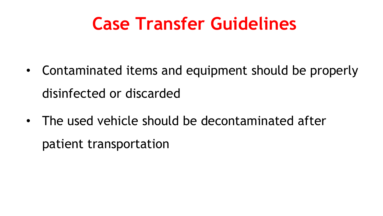# **Case Transfer Guidelines**

- Contaminated items and equipment should be properly disinfected or discarded
- The used vehicle should be decontaminated after patient transportation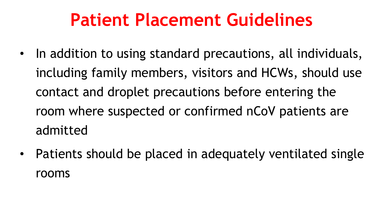# **Patient Placement Guidelines**

- In addition to using standard precautions, all individuals, including family members, visitors and HCWs, should use contact and droplet precautions before entering the room where suspected or confirmed nCoV patients are admitted
- Patients should be placed in adequately ventilated single rooms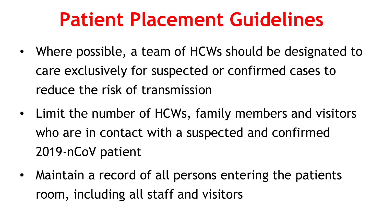# **Patient Placement Guidelines**

- Where possible, a team of HCWs should be designated to care exclusively for suspected or confirmed cases to reduce the risk of transmission
- Limit the number of HCWs, family members and visitors who are in contact with a suspected and confirmed 2019-nCoV patient
- Maintain a record of all persons entering the patients room, including all staff and visitors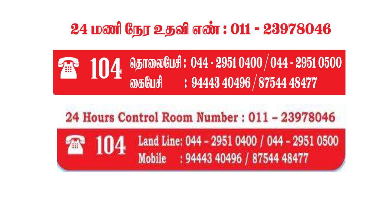# 24 மணி நேர உதவி எண்: 011 - 23978046